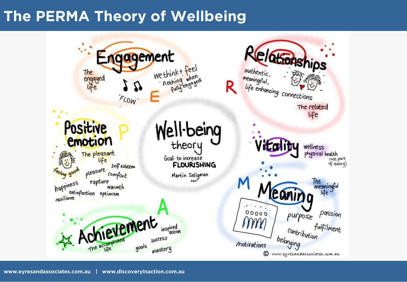## **The PERMA Theory of Wellbeing**